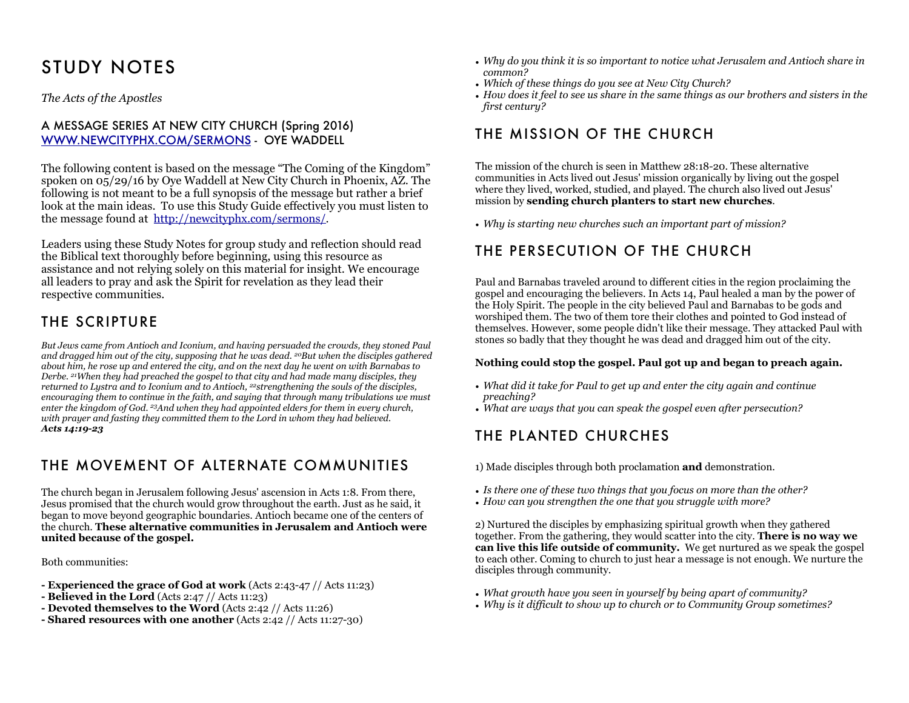# STUDY NOTES

*The Acts of the Apostles*

#### A MESSAGE SERIES AT NEW CITY CHURCH (Spring 2016) [WWW.NEWCITYPHX.COM/SERMONS](http://WWW.NEWCITYPHX.COM/SERMONS) - OYE WADDELL

The following content is based on the message "The Coming of the Kingdom" spoken on 05/29/16 by Oye Waddell at New City Church in Phoenix, AZ. The following is not meant to be a full synopsis of the message but rather a brief look at the main ideas. To use this Study Guide effectively you must listen to the message found at [http://newcityphx.com/sermons/.](http://newcityphx.com/sermons/)

Leaders using these Study Notes for group study and reflection should read the Biblical text thoroughly before beginning, using this resource as assistance and not relying solely on this material for insight. We encourage all leaders to pray and ask the Spirit for revelation as they lead their respective communities.

### THE SCRIPTURE

*But Jews came from Antioch and Iconium, and having persuaded the crowds, they stoned Paul and dragged him out of the city, supposing that he was dead. 20But when the disciples gathered about him, he rose up and entered the city, and on the next day he went on with Barnabas to Derbe. 21When they had preached the gospel to that city and had made many disciples, they returned to Lystra and to Iconium and to Antioch, 22strengthening the souls of the disciples, encouraging them to continue in the faith, and saying that through many tribulations we must enter the kingdom of God. 23And when they had appointed elders for them in every church, with prayer and fasting they committed them to the Lord in whom they had believed. Acts 14:19-23*

#### THE MOVEMENT OF ALTERNATE COMMUNITIES

The church began in Jerusalem following Jesus' ascension in Acts 1:8. From there, Jesus promised that the church would grow throughout the earth. Just as he said, it began to move beyond geographic boundaries. Antioch became one of the centers of the church. **These alternative communities in Jerusalem and Antioch were united because of the gospel.**

Both communities:

- **Experienced the grace of God at work** (Acts 2:43-47 // Acts 11:23)
- **Believed in the Lord** (Acts 2:47 // Acts 11:23)
- **Devoted themselves to the Word** (Acts 2:42 // Acts 11:26)
- **Shared resources with one another** (Acts 2:42 // Acts 11:27-30)
- *• Why do you think it is so important to notice what Jerusalem and Antioch share in common?*
- *• Which of these things do you see at New City Church?*
- *• How does it feel to see us share in the same things as our brothers and sisters in the first century?*

### THE MISSION OF THE CHURCH

The mission of the church is seen in Matthew 28:18-20. These alternative communities in Acts lived out Jesus' mission organically by living out the gospel where they lived, worked, studied, and played. The church also lived out Jesus' mission by **sending church planters to start new churches**.

*• Why is starting new churches such an important part of mission?* 

## THE PERSECUTION OF THE CHURCH

Paul and Barnabas traveled around to different cities in the region proclaiming the gospel and encouraging the believers. In Acts 14, Paul healed a man by the power of the Holy Spirit. The people in the city believed Paul and Barnabas to be gods and worshiped them. The two of them tore their clothes and pointed to God instead of themselves. However, some people didn't like their message. They attacked Paul with stones so badly that they thought he was dead and dragged him out of the city.

#### **Nothing could stop the gospel. Paul got up and began to preach again.**

- *• What did it take for Paul to get up and enter the city again and continue preaching?*
- *• What are ways that you can speak the gospel even after persecution?*

# THE PLANTED CHURCHES

1) Made disciples through both proclamation **and** demonstration.

- *• Is there one of these two things that you focus on more than the other?*
- *• How can you strengthen the one that you struggle with more?*

2) Nurtured the disciples by emphasizing spiritual growth when they gathered together. From the gathering, they would scatter into the city. **There is no way we can live this life outside of community.** We get nurtured as we speak the gospel to each other. Coming to church to just hear a message is not enough. We nurture the disciples through community.

- *• What growth have you seen in yourself by being apart of community?*
- *• Why is it difficult to show up to church or to Community Group sometimes?*